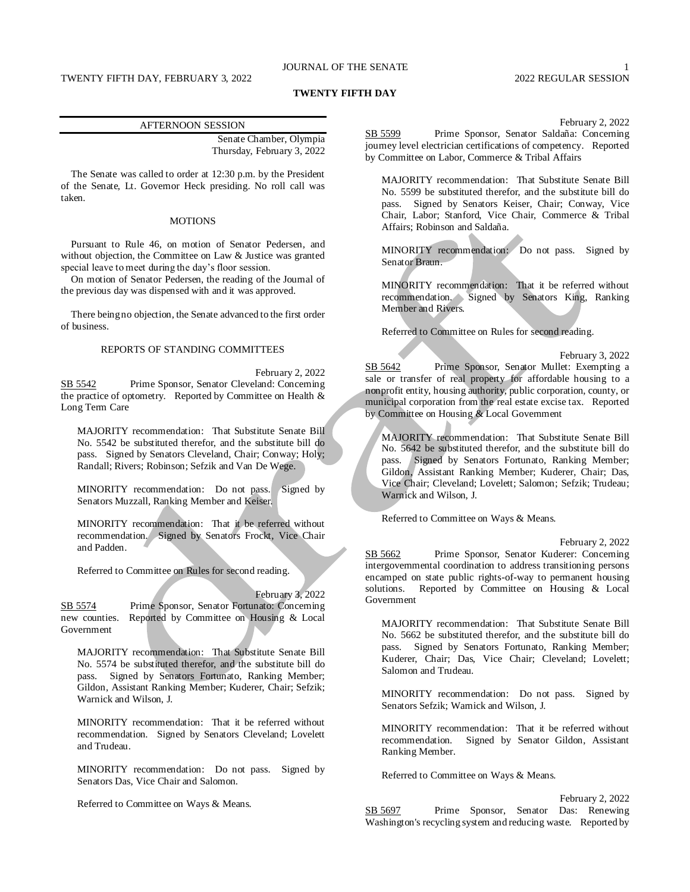# JOURNAL OF THE SENATE 1

#### **TWENTY FIFTH DAY**

#### AFTERNOON SESSION

Senate Chamber, Olympia Thursday, February 3, 2022

The Senate was called to order at 12:30 p.m. by the President of the Senate, Lt. Governor Heck presiding. No roll call was taken.

# **MOTIONS**

Pursuant to Rule 46, on motion of Senator Pedersen, and without objection, the Committee on Law & Justice was granted special leave to meet during the day's floor session.

On motion of Senator Pedersen, the reading of the Journal of the previous day was dispensed with and it was approved.

There being no objection, the Senate advanced to the first order of business.

#### REPORTS OF STANDING COMMITTEES

February 2, 2022 SB 5542 Prime Sponsor, Senator Cleveland: Concerning the practice of optometry. Reported by Committee on Health & Long Term Care

MAJORITY recommendation: That Substitute Senate Bill No. 5542 be substituted therefor, and the substitute bill do pass. Signed by Senators Cleveland, Chair; Conway; Holy; Randall; Rivers; Robinson; Sefzik and Van De Wege.

MINORITY recommendation: Do not pass. Signed by Senators Muzzall, Ranking Member and Keiser.

MINORITY recommendation: That it be referred without recommendation. Signed by Senators Frockt, Vice Chair and Padden.

Referred to Committee on Rules for second reading.

February 3, 2022 SB 5574 Prime Sponsor, Senator Fortunato: Concerning new counties. Reported by Committee on Housing & Local Government

MAJORITY recommendation: That Substitute Senate Bill No. 5574 be substituted therefor, and the substitute bill do pass. Signed by Senators Fortunato, Ranking Member; Gildon, Assistant Ranking Member; Kuderer, Chair; Sefzik; Warnick and Wilson, J.

MINORITY recommendation: That it be referred without recommendation. Signed by Senators Cleveland; Lovelett and Trudeau.

MINORITY recommendation: Do not pass. Signed by Senators Das, Vice Chair and Salomon.

Referred to Committee on Ways & Means.

February 2, 2022

SB 5599 Prime Sponsor, Senator Saldaña: Concerning journey level electrician certifications of competency. Reported by Committee on Labor, Commerce & Tribal Affairs

MAJORITY recommendation: That Substitute Senate Bill No. 5599 be substituted therefor, and the substitute bill do pass. Signed by Senators Keiser, Chair; Conway, Vice Chair, Labor; Stanford, Vice Chair, Commerce & Tribal Affairs; Robinson and Saldaña.

MINORITY recommendation: Do not pass. Signed by Senator Braun.

MINORITY recommendation: That it be referred without recommendation. Signed by Senators King, Ranking Member and Rivers.

Referred to Committee on Rules for second reading.

February 3, 2022 SB 5642 Prime Sponsor, Senator Mullet: Exempting a sale or transfer of real property for affordable housing to a nonprofit entity, housing authority, public corporation, county, or municipal corporation from the real estate excise tax. Reported by Committee on Housing & Local Government

MAJORITY recommendation: That Substitute Senate Bill No. 5642 be substituted therefor, and the substitute bill do pass. Signed by Senators Fortunato, Ranking Member; Gildon, Assistant Ranking Member; Kuderer, Chair; Das, Vice Chair; Cleveland; Lovelett; Salomon; Sefzik; Trudeau; Warnick and Wilson, J.

Referred to Committee on Ways & Means.

February 2, 2022

SB 5662 Prime Sponsor, Senator Kuderer: Concerning intergovernmental coordination to address transitioning persons encamped on state public rights-of-way to permanent housing solutions. Reported by Committee on Housing & Local Government

MAJORITY recommendation: That Substitute Senate Bill No. 5662 be substituted therefor, and the substitute bill do pass. Signed by Senators Fortunato, Ranking Member; Kuderer, Chair; Das, Vice Chair; Cleveland; Lovelett; Salomon and Trudeau.

MINORITY recommendation: Do not pass. Signed by Senators Sefzik; Warnick and Wilson, J.

MINORITY recommendation: That it be referred without recommendation. Signed by Senator Gildon, Assistant Ranking Member.

Referred to Committee on Ways & Means.

February 2, 2022 SB 5697 Prime Sponsor, Senator Das: Renewing Washington's recycling system and reducing waste. Reported by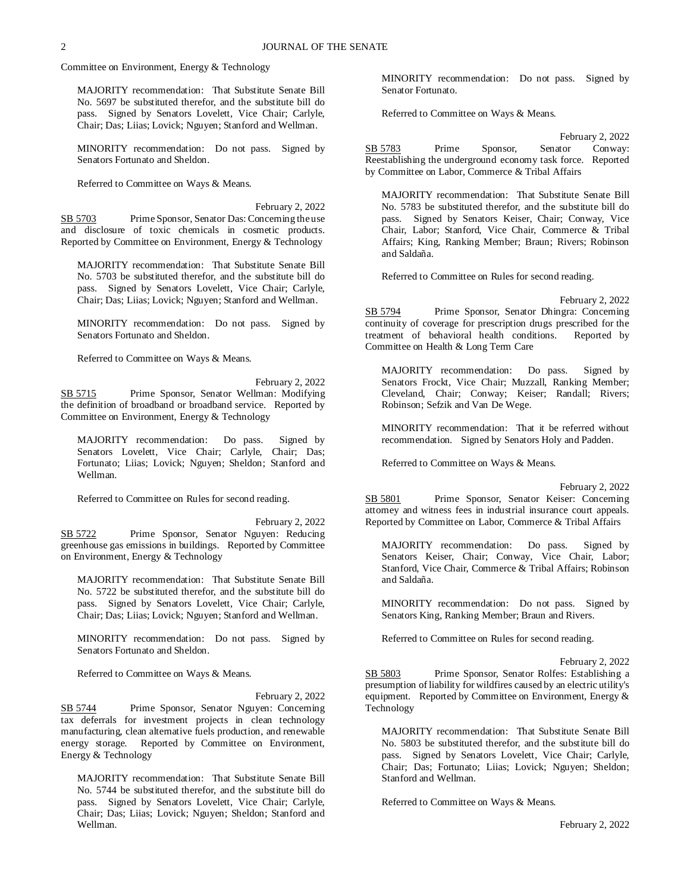Committee on Environment, Energy & Technology

MAJORITY recommendation: That Substitute Senate Bill No. 5697 be substituted therefor, and the substitute bill do pass. Signed by Senators Lovelett, Vice Chair; Carlyle, Chair; Das; Liias; Lovick; Nguyen; Stanford and Wellman.

MINORITY recommendation: Do not pass. Signed by Senators Fortunato and Sheldon.

Referred to Committee on Ways & Means.

February 2, 2022 SB 5703 Prime Sponsor, Senator Das: Concerning the use and disclosure of toxic chemicals in cosmetic products. Reported by Committee on Environment, Energy & Technology

MAJORITY recommendation: That Substitute Senate Bill No. 5703 be substituted therefor, and the substitute bill do pass. Signed by Senators Lovelett, Vice Chair; Carlyle, Chair; Das; Liias; Lovick; Nguyen; Stanford and Wellman.

MINORITY recommendation: Do not pass. Signed by Senators Fortunato and Sheldon.

Referred to Committee on Ways & Means.

February 2, 2022 SB 5715 Prime Sponsor, Senator Wellman: Modifying the definition of broadband or broadband service. Reported by Committee on Environment, Energy & Technology

MAJORITY recommendation: Do pass. Signed by Senators Lovelett, Vice Chair; Carlyle, Chair; Das; Fortunato; Liias; Lovick; Nguyen; Sheldon; Stanford and Wellman.

Referred to Committee on Rules for second reading.

February 2, 2022 SB 5722 Prime Sponsor, Senator Nguyen: Reducing greenhouse gas emissions in buildings. Reported by Committee on Environment, Energy & Technology

MAJORITY recommendation: That Substitute Senate Bill No. 5722 be substituted therefor, and the substitute bill do pass. Signed by Senators Lovelett, Vice Chair; Carlyle, Chair; Das; Liias; Lovick; Nguyen; Stanford and Wellman.

MINORITY recommendation: Do not pass. Signed by Senators Fortunato and Sheldon.

Referred to Committee on Ways & Means.

February 2, 2022 SB 5744 Prime Sponsor, Senator Nguyen: Concerning tax deferrals for investment projects in clean technology manufacturing, clean alternative fuels production, and renewable energy storage. Reported by Committee on Environment, Energy & Technology

MAJORITY recommendation: That Substitute Senate Bill No. 5744 be substituted therefor, and the substitute bill do pass. Signed by Senators Lovelett, Vice Chair; Carlyle, Chair; Das; Liias; Lovick; Nguyen; Sheldon; Stanford and Wellman.

MINORITY recommendation: Do not pass. Signed by Senator Fortunato.

Referred to Committee on Ways & Means.

February 2, 2022 SB 5783 Prime Sponsor, Senator Conway: Reestablishing the underground economy task force. Reported by Committee on Labor, Commerce & Tribal Affairs

MAJORITY recommendation: That Substitute Senate Bill No. 5783 be substituted therefor, and the substitute bill do pass. Signed by Senators Keiser, Chair; Conway, Vice Chair, Labor; Stanford, Vice Chair, Commerce & Tribal Affairs; King, Ranking Member; Braun; Rivers; Robinson and Saldaña.

Referred to Committee on Rules for second reading.

February 2, 2022

SB 5794 Prime Sponsor, Senator Dhingra: Concerning continuity of coverage for prescription drugs prescribed for the treatment of behavioral health conditions. Reported by Committee on Health & Long Term Care

MAJORITY recommendation: Do pass. Signed by Senators Frockt, Vice Chair; Muzzall, Ranking Member; Cleveland, Chair; Conway; Keiser; Randall; Rivers; Robinson; Sefzik and Van De Wege.

MINORITY recommendation: That it be referred without recommendation. Signed by Senators Holy and Padden.

Referred to Committee on Ways & Means.

February 2, 2022

SB 5801 Prime Sponsor, Senator Keiser: Concerning attorney and witness fees in industrial insurance court appeals. Reported by Committee on Labor, Commerce & Tribal Affairs

MAJORITY recommendation: Do pass. Signed by Senators Keiser, Chair; Conway, Vice Chair, Labor; Stanford, Vice Chair, Commerce & Tribal Affairs; Robinson and Saldaña.

MINORITY recommendation: Do not pass. Signed by Senators King, Ranking Member; Braun and Rivers.

Referred to Committee on Rules for second reading.

February 2, 2022

SB 5803 Prime Sponsor, Senator Rolfes: Establishing a presumption of liability for wildfires caused by an electric utility's equipment. Reported by Committee on Environment, Energy & Technology

MAJORITY recommendation: That Substitute Senate Bill No. 5803 be substituted therefor, and the substitute bill do pass. Signed by Senators Lovelett, Vice Chair; Carlyle, Chair; Das; Fortunato; Liias; Lovick; Nguyen; Sheldon; Stanford and Wellman.

Referred to Committee on Ways & Means.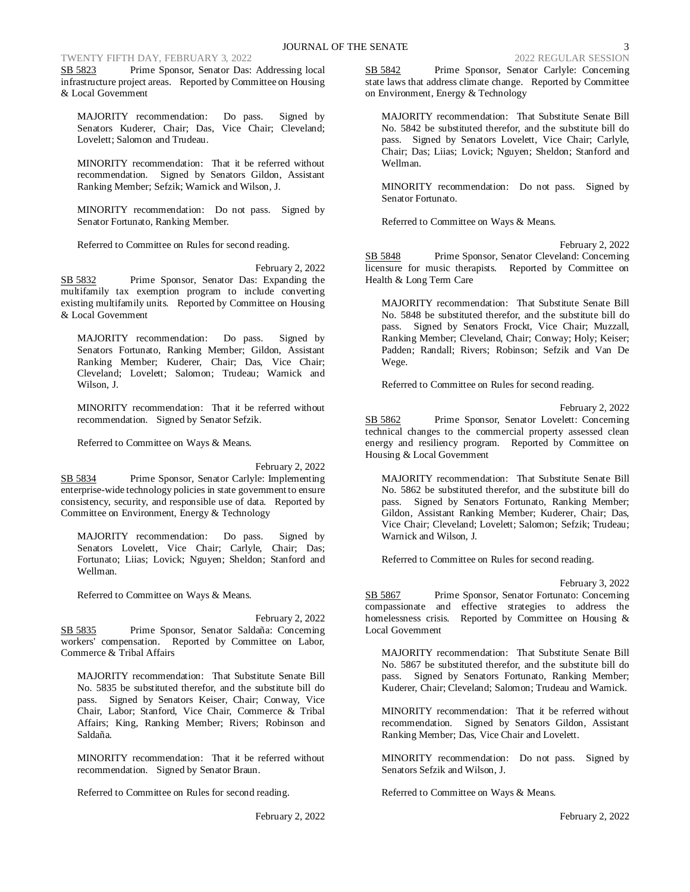# TWENTY FIFTH DAY, FEBRUARY 3, 2022 2022 2022 2022 2022 REGULAR SESSION

SB 5823 Prime Sponsor, Senator Das: Addressing local infrastructure project areas. Reported by Committee on Housing & Local Government

MAJORITY recommendation: Do pass. Signed by Senators Kuderer, Chair; Das, Vice Chair; Cleveland; Lovelett; Salomon and Trudeau.

MINORITY recommendation: That it be referred without recommendation. Signed by Senators Gildon, Assistant Ranking Member; Sefzik; Warnick and Wilson, J.

MINORITY recommendation: Do not pass. Signed by Senator Fortunato, Ranking Member.

Referred to Committee on Rules for second reading.

February 2, 2022 SB 5832 Prime Sponsor, Senator Das: Expanding the multifamily tax exemption program to include converting existing multifamily units. Reported by Committee on Housing & Local Government

MAJORITY recommendation: Do pass. Signed by Senators Fortunato, Ranking Member; Gildon, Assistant Ranking Member; Kuderer, Chair; Das, Vice Chair; Cleveland; Lovelett; Salomon; Trudeau; Warnick and Wilson, J.

MINORITY recommendation: That it be referred without recommendation. Signed by Senator Sefzik.

Referred to Committee on Ways & Means.

February 2, 2022 SB 5834 Prime Sponsor, Senator Carlyle: Implementing enterprise-wide technology policies in state government to ensure consistency, security, and responsible use of data. Reported by Committee on Environment, Energy & Technology

MAJORITY recommendation: Do pass. Signed by Senators Lovelett, Vice Chair; Carlyle, Chair; Das; Fortunato; Liias; Lovick; Nguyen; Sheldon; Stanford and Wellman.

Referred to Committee on Ways & Means.

February 2, 2022 SB 5835 Prime Sponsor, Senator Saldaña: Concerning workers' compensation. Reported by Committee on Labor, Commerce & Tribal Affairs

MAJORITY recommendation: That Substitute Senate Bill No. 5835 be substituted therefor, and the substitute bill do pass. Signed by Senators Keiser, Chair; Conway, Vice Chair, Labor; Stanford, Vice Chair, Commerce & Tribal Affairs; King, Ranking Member; Rivers; Robinson and Saldaña.

MINORITY recommendation: That it be referred without recommendation. Signed by Senator Braun.

Referred to Committee on Rules for second reading.

SB 5842 Prime Sponsor, Senator Carlyle: Concerning state laws that address climate change. Reported by Committee on Environment, Energy & Technology

MAJORITY recommendation: That Substitute Senate Bill No. 5842 be substituted therefor, and the substitute bill do pass. Signed by Senators Lovelett, Vice Chair; Carlyle, Chair; Das; Liias; Lovick; Nguyen; Sheldon; Stanford and Wellman.

MINORITY recommendation: Do not pass. Signed by Senator Fortunato.

Referred to Committee on Ways & Means.

February 2, 2022 SB 5848 Prime Sponsor, Senator Cleveland: Concerning licensure for music therapists. Reported by Committee on Health & Long Term Care

MAJORITY recommendation: That Substitute Senate Bill No. 5848 be substituted therefor, and the substitute bill do pass. Signed by Senators Frockt, Vice Chair; Muzzall, Ranking Member; Cleveland, Chair; Conway; Holy; Keiser; Padden; Randall; Rivers; Robinson; Sefzik and Van De Wege.

Referred to Committee on Rules for second reading.

February 2, 2022

SB 5862 Prime Sponsor, Senator Lovelett: Concerning technical changes to the commercial property assessed clean energy and resiliency program. Reported by Committee on Housing & Local Government

MAJORITY recommendation: That Substitute Senate Bill No. 5862 be substituted therefor, and the substitute bill do pass. Signed by Senators Fortunato, Ranking Member; Gildon, Assistant Ranking Member; Kuderer, Chair; Das, Vice Chair; Cleveland; Lovelett; Salomon; Sefzik; Trudeau; Warnick and Wilson, J.

Referred to Committee on Rules for second reading.

February 3, 2022

SB 5867 Prime Sponsor, Senator Fortunato: Concerning compassionate and effective strategies to address the homelessness crisis. Reported by Committee on Housing & Local Government

MAJORITY recommendation: That Substitute Senate Bill No. 5867 be substituted therefor, and the substitute bill do pass. Signed by Senators Fortunato, Ranking Member; Kuderer, Chair; Cleveland; Salomon; Trudeau and Warnick.

MINORITY recommendation: That it be referred without recommendation. Signed by Senators Gildon, Assistant Ranking Member; Das, Vice Chair and Lovelett.

MINORITY recommendation: Do not pass. Signed by Senators Sefzik and Wilson, J.

Referred to Committee on Ways & Means.

February 2, 2022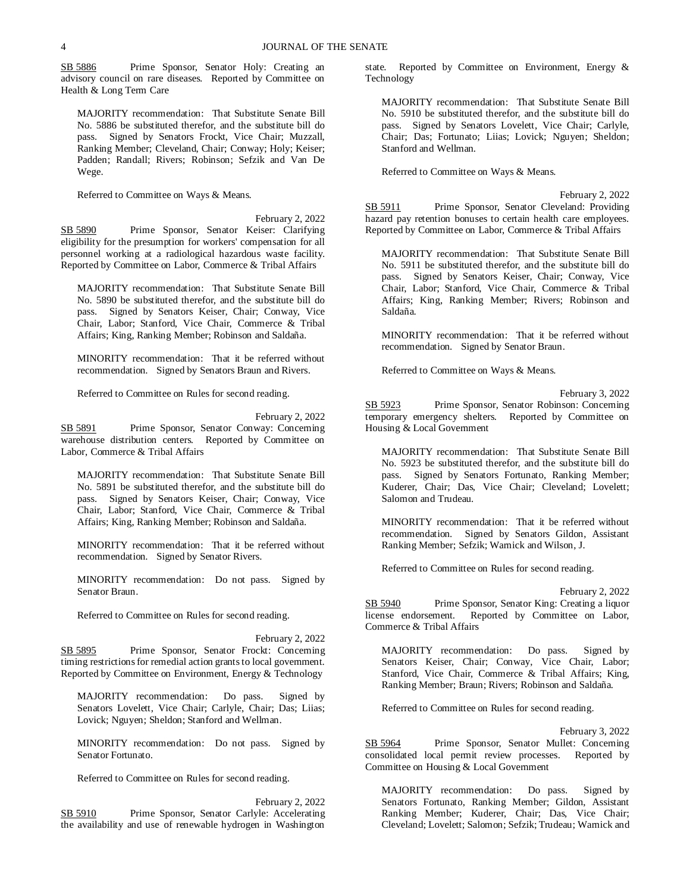SB 5886 Prime Sponsor, Senator Holy: Creating an advisory council on rare diseases. Reported by Committee on Health & Long Term Care

MAJORITY recommendation: That Substitute Senate Bill No. 5886 be substituted therefor, and the substitute bill do pass. Signed by Senators Frockt, Vice Chair; Muzzall, Ranking Member; Cleveland, Chair; Conway; Holy; Keiser; Padden; Randall; Rivers; Robinson; Sefzik and Van De Wege.

Referred to Committee on Ways & Means.

February 2, 2022 SB 5890 Prime Sponsor, Senator Keiser: Clarifying eligibility for the presumption for workers' compensation for all personnel working at a radiological hazardous waste facility. Reported by Committee on Labor, Commerce & Tribal Affairs

MAJORITY recommendation: That Substitute Senate Bill No. 5890 be substituted therefor, and the substitute bill do pass. Signed by Senators Keiser, Chair; Conway, Vice Chair, Labor; Stanford, Vice Chair, Commerce & Tribal Affairs; King, Ranking Member; Robinson and Saldaña.

MINORITY recommendation: That it be referred without recommendation. Signed by Senators Braun and Rivers.

Referred to Committee on Rules for second reading.

February 2, 2022 SB 5891 Prime Sponsor, Senator Conway: Concerning warehouse distribution centers. Reported by Committee on Labor, Commerce & Tribal Affairs

MAJORITY recommendation: That Substitute Senate Bill No. 5891 be substituted therefor, and the substitute bill do pass. Signed by Senators Keiser, Chair; Conway, Vice Chair, Labor; Stanford, Vice Chair, Commerce & Tribal Affairs; King, Ranking Member; Robinson and Saldaña.

MINORITY recommendation: That it be referred without recommendation. Signed by Senator Rivers.

MINORITY recommendation: Do not pass. Signed by Senator Braun.

Referred to Committee on Rules for second reading.

February 2, 2022 SB 5895 Prime Sponsor, Senator Frockt: Concerning timing restrictions for remedial action grants to local government. Reported by Committee on Environment, Energy & Technology

MAJORITY recommendation: Do pass. Signed by Senators Lovelett, Vice Chair; Carlyle, Chair; Das; Liias; Lovick; Nguyen; Sheldon; Stanford and Wellman.

MINORITY recommendation: Do not pass. Signed by Senator Fortunato.

Referred to Committee on Rules for second reading.

February 2, 2022 SB 5910 Prime Sponsor, Senator Carlyle: Accelerating the availability and use of renewable hydrogen in Washington state. Reported by Committee on Environment, Energy & Technology

MAJORITY recommendation: That Substitute Senate Bill No. 5910 be substituted therefor, and the substitute bill do pass. Signed by Senators Lovelett, Vice Chair; Carlyle, Chair; Das; Fortunato; Liias; Lovick; Nguyen; Sheldon; Stanford and Wellman.

Referred to Committee on Ways & Means.

February 2, 2022 SB 5911 Prime Sponsor, Senator Cleveland: Providing hazard pay retention bonuses to certain health care employees. Reported by Committee on Labor, Commerce & Tribal Affairs

MAJORITY recommendation: That Substitute Senate Bill No. 5911 be substituted therefor, and the substitute bill do pass. Signed by Senators Keiser, Chair; Conway, Vice Chair, Labor; Stanford, Vice Chair, Commerce & Tribal Affairs; King, Ranking Member; Rivers; Robinson and Saldaña.

MINORITY recommendation: That it be referred without recommendation. Signed by Senator Braun.

Referred to Committee on Ways & Means.

February 3, 2022 SB 5923 Prime Sponsor, Senator Robinson: Concerning temporary emergency shelters. Reported by Committee on Housing & Local Government

MAJORITY recommendation: That Substitute Senate Bill No. 5923 be substituted therefor, and the substitute bill do pass. Signed by Senators Fortunato, Ranking Member; Kuderer, Chair; Das, Vice Chair; Cleveland; Lovelett; Salomon and Trudeau.

MINORITY recommendation: That it be referred without recommendation. Signed by Senators Gildon, Assistant Ranking Member; Sefzik; Warnick and Wilson, J.

Referred to Committee on Rules for second reading.

February 2, 2022 SB 5940 Prime Sponsor, Senator King: Creating a liquor license endorsement. Reported by Committee on Labor, Commerce & Tribal Affairs

MAJORITY recommendation: Do pass. Signed by Senators Keiser, Chair; Conway, Vice Chair, Labor; Stanford, Vice Chair, Commerce & Tribal Affairs; King, Ranking Member; Braun; Rivers; Robinson and Saldaña.

Referred to Committee on Rules for second reading.

February 3, 2022

SB 5964 Prime Sponsor, Senator Mullet: Concerning consolidated local permit review processes. Reported by Committee on Housing & Local Government

MAJORITY recommendation: Do pass. Signed by Senators Fortunato, Ranking Member; Gildon, Assistant Ranking Member; Kuderer, Chair; Das, Vice Chair; Cleveland; Lovelett; Salomon; Sefzik; Trudeau; Warnick and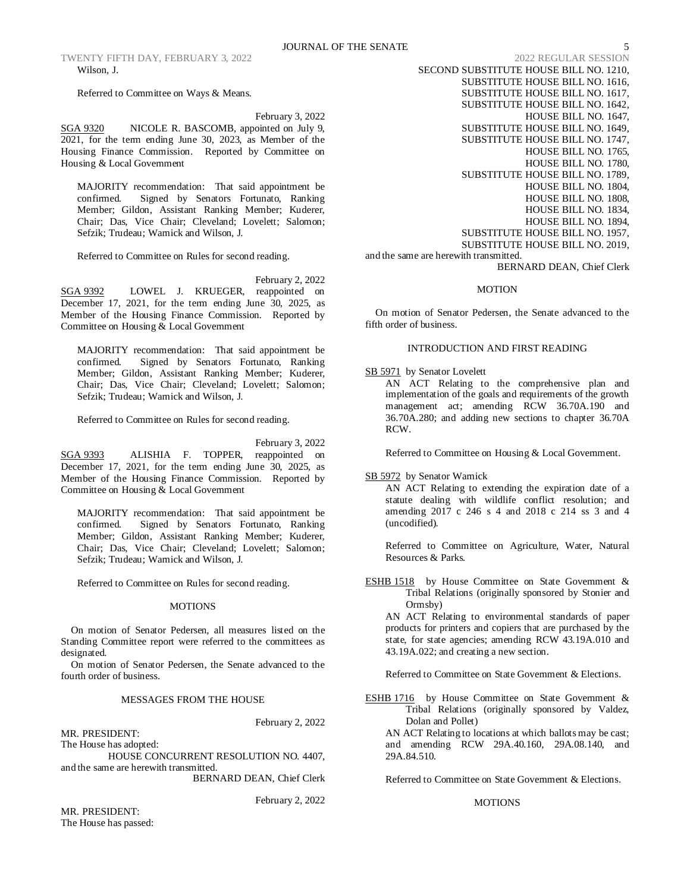Referred to Committee on Ways & Means.

February 3, 2022

SGA 9320 NICOLE R. BASCOMB, appointed on July 9, 2021, for the term ending June 30, 2023, as Member of the Housing Finance Commission. Reported by Committee on Housing & Local Government

MAJORITY recommendation: That said appointment be confirmed. Signed by Senators Fortunato, Ranking Member; Gildon, Assistant Ranking Member; Kuderer, Chair; Das, Vice Chair; Cleveland; Lovelett; Salomon; Sefzik; Trudeau; Warnick and Wilson, J.

Referred to Committee on Rules for second reading.

February 2, 2022

SGA 9392 LOWEL J. KRUEGER, reappointed on December 17, 2021, for the term ending June 30, 2025, as Member of the Housing Finance Commission. Reported by Committee on Housing & Local Government

MAJORITY recommendation: That said appointment be confirmed. Signed by Senators Fortunato, Ranking Member; Gildon, Assistant Ranking Member; Kuderer, Chair; Das, Vice Chair; Cleveland; Lovelett; Salomon; Sefzik; Trudeau; Warnick and Wilson, J.

Referred to Committee on Rules for second reading.

February 3, 2022 SGA 9393 ALISHIA F. TOPPER, reappointed on December 17, 2021, for the term ending June 30, 2025, as Member of the Housing Finance Commission. Reported by Committee on Housing & Local Government

MAJORITY recommendation: That said appointment be confirmed. Signed by Senators Fortunato, Ranking Member; Gildon, Assistant Ranking Member; Kuderer, Chair; Das, Vice Chair; Cleveland; Lovelett; Salomon; Sefzik; Trudeau; Warnick and Wilson, J.

Referred to Committee on Rules for second reading.

# MOTIONS

On motion of Senator Pedersen, all measures listed on the Standing Committee report were referred to the committees as designated.

On motion of Senator Pedersen, the Senate advanced to the fourth order of business.

# MESSAGES FROM THE HOUSE

MR. PRESIDENT: The House has adopted:

HOUSE CONCURRENT RESOLUTION NO. 4407, and the same are herewith transmitted.

BERNARD DEAN, Chief Clerk

February 2, 2022

February 2, 2022

SECOND SUBSTITUTE HOUSE BILL NO. 1210, SUBSTITUTE HOUSE BILL NO. 1616, SUBSTITUTE HOUSE BILL NO. 1617, SUBSTITUTE HOUSE BILL NO. 1642, HOUSE BILL NO. 1647, SUBSTITUTE HOUSE BILL NO. 1649, SUBSTITUTE HOUSE BILL NO. 1747, HOUSE BILL NO. 1765, HOUSE BILL NO. 1780, SUBSTITUTE HOUSE BILL NO. 1789, HOUSE BILL NO. 1804, HOUSE BILL NO. 1808, HOUSE BILL NO. 1834, HOUSE BILL NO. 1894, SUBSTITUTE HOUSE BILL NO. 1957, SUBSTITUTE HOUSE BILL NO. 2019, and the same are herewith transmitted.

BERNARD DEAN, Chief Clerk

#### **MOTION**

On motion of Senator Pedersen, the Senate advanced to the fifth order of business.

# INTRODUCTION AND FIRST READING

SB 5971 by Senator Lovelett

AN ACT Relating to the comprehensive plan and implementation of the goals and requirements of the growth management act; amending RCW 36.70A.190 and 36.70A.280; and adding new sections to chapter 36.70A RCW.

Referred to Committee on Housing & Local Government.

SB 5972 by Senator Warnick

AN ACT Relating to extending the expiration date of a statute dealing with wildlife conflict resolution; and amending 2017 c 246 s 4 and 2018 c 214 ss 3 and 4 (uncodified).

Referred to Committee on Agriculture, Water, Natural Resources & Parks.

ESHB 1518 by House Committee on State Government & Tribal Relations (originally sponsored by Stonier and Ormsby)

AN ACT Relating to environmental standards of paper products for printers and copiers that are purchased by the state, for state agencies; amending RCW 43.19A.010 and 43.19A.022; and creating a new section.

Referred to Committee on State Government & Elections.

ESHB 1716 by House Committee on State Government & Tribal Relations (originally sponsored by Valdez, Dolan and Pollet)

AN ACT Relating to locations at which ballots may be cast; and amending RCW 29A.40.160, 29A.08.140, and 29A.84.510.

Referred to Committee on State Government & Elections.

### MOTIONS

MR. PRESIDENT: The House has passed: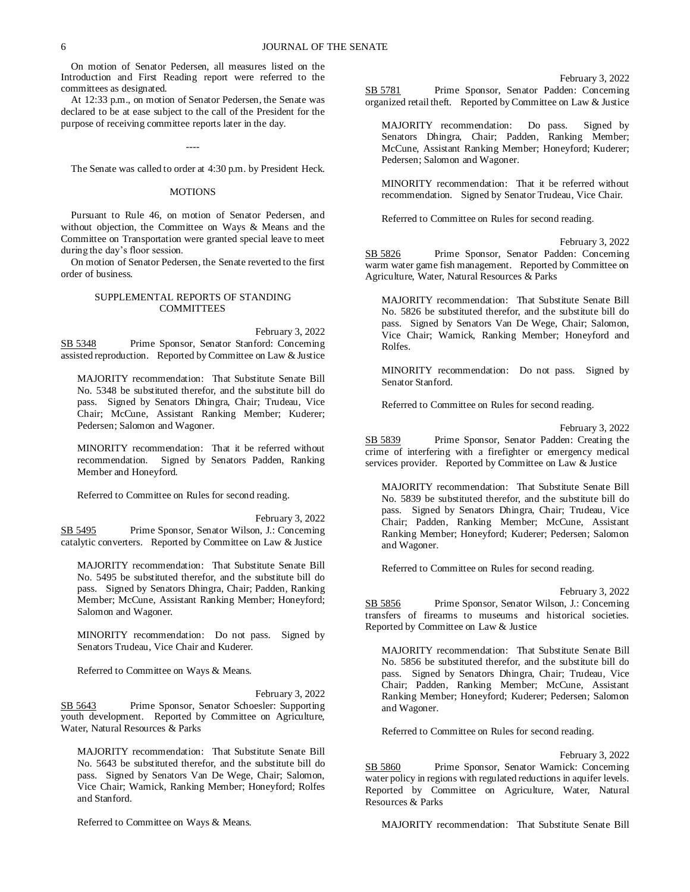On motion of Senator Pedersen, all measures listed on the Introduction and First Reading report were referred to the committees as designated.

At 12:33 p.m., on motion of Senator Pedersen, the Senate was declared to be at ease subject to the call of the President for the purpose of receiving committee reports later in the day.

----

The Senate was called to order at 4:30 p.m. by President Heck.

#### **MOTIONS**

Pursuant to Rule 46, on motion of Senator Pedersen, and without objection, the Committee on Ways & Means and the Committee on Transportation were granted special leave to meet during the day's floor session.

On motion of Senator Pedersen, the Senate reverted to the first order of business.

# SUPPLEMENTAL REPORTS OF STANDING COMMITTEES

February 3, 2022 SB 5348 Prime Sponsor, Senator Stanford: Concerning assisted reproduction. Reported by Committee on Law & Justice

MAJORITY recommendation: That Substitute Senate Bill No. 5348 be substituted therefor, and the substitute bill do pass. Signed by Senators Dhingra, Chair; Trudeau, Vice Chair; McCune, Assistant Ranking Member; Kuderer; Pedersen; Salomon and Wagoner.

MINORITY recommendation: That it be referred without recommendation. Signed by Senators Padden, Ranking Member and Honeyford.

Referred to Committee on Rules for second reading.

February 3, 2022 SB 5495 Prime Sponsor, Senator Wilson, J.: Concerning catalytic converters. Reported by Committee on Law & Justice

MAJORITY recommendation: That Substitute Senate Bill No. 5495 be substituted therefor, and the substitute bill do pass. Signed by Senators Dhingra, Chair; Padden, Ranking Member; McCune, Assistant Ranking Member; Honeyford; Salomon and Wagoner.

MINORITY recommendation: Do not pass. Signed by Senators Trudeau, Vice Chair and Kuderer.

Referred to Committee on Ways & Means.

February 3, 2022 SB 5643 Prime Sponsor, Senator Schoesler: Supporting youth development. Reported by Committee on Agriculture, Water, Natural Resources & Parks

MAJORITY recommendation: That Substitute Senate Bill No. 5643 be substituted therefor, and the substitute bill do pass. Signed by Senators Van De Wege, Chair; Salomon, Vice Chair; Warnick, Ranking Member; Honeyford; Rolfes and Stanford.

Referred to Committee on Ways & Means.

February 3, 2022 SB 5781 Prime Sponsor, Senator Padden: Concerning organized retail theft. Reported by Committee on Law & Justice

MAJORITY recommendation: Do pass. Signed by Senators Dhingra, Chair; Padden, Ranking Member; McCune, Assistant Ranking Member; Honeyford; Kuderer; Pedersen; Salomon and Wagoner.

MINORITY recommendation: That it be referred without recommendation. Signed by Senator Trudeau, Vice Chair.

Referred to Committee on Rules for second reading.

February 3, 2022 SB 5826 Prime Sponsor, Senator Padden: Concerning warm water game fish management. Reported by Committee on Agriculture, Water, Natural Resources & Parks

MAJORITY recommendation: That Substitute Senate Bill No. 5826 be substituted therefor, and the substitute bill do pass. Signed by Senators Van De Wege, Chair; Salomon, Vice Chair; Warnick, Ranking Member; Honeyford and Rolfes.

MINORITY recommendation: Do not pass. Signed by Senator Stanford.

Referred to Committee on Rules for second reading.

February 3, 2022

SB 5839 Prime Sponsor, Senator Padden: Creating the crime of interfering with a firefighter or emergency medical services provider. Reported by Committee on Law & Justice

MAJORITY recommendation: That Substitute Senate Bill No. 5839 be substituted therefor, and the substitute bill do pass. Signed by Senators Dhingra, Chair; Trudeau, Vice Chair; Padden, Ranking Member; McCune, Assistant Ranking Member; Honeyford; Kuderer; Pedersen; Salomon and Wagoner.

Referred to Committee on Rules for second reading.

February 3, 2022

SB 5856 Prime Sponsor, Senator Wilson, J.: Concerning transfers of firearms to museums and historical societies. Reported by Committee on Law & Justice

MAJORITY recommendation: That Substitute Senate Bill No. 5856 be substituted therefor, and the substitute bill do pass. Signed by Senators Dhingra, Chair; Trudeau, Vice Chair; Padden, Ranking Member; McCune, Assistant Ranking Member; Honeyford; Kuderer; Pedersen; Salomon and Wagoner.

Referred to Committee on Rules for second reading.

February 3, 2022

SB 5860 Prime Sponsor, Senator Warnick: Concerning water policy in regions with regulated reductions in aquifer levels. Reported by Committee on Agriculture, Water, Natural Resources & Parks

MAJORITY recommendation: That Substitute Senate Bill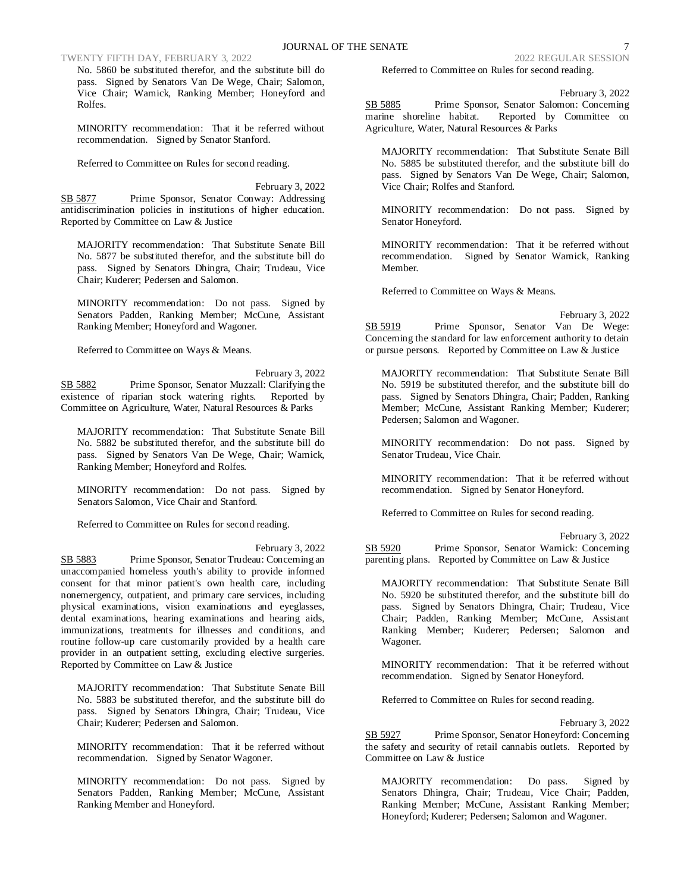# TWENTY FIFTH DAY, FEBRUARY 3, 2022 2022 2022 2022 REGULAR SESSION

No. 5860 be substituted therefor, and the substitute bill do pass. Signed by Senators Van De Wege, Chair; Salomon, Vice Chair; Warnick, Ranking Member; Honeyford and Rolfes.

MINORITY recommendation: That it be referred without recommendation. Signed by Senator Stanford.

Referred to Committee on Rules for second reading.

February 3, 2022 SB 5877 Prime Sponsor, Senator Conway: Addressing antidiscrimination policies in institutions of higher education. Reported by Committee on Law & Justice

MAJORITY recommendation: That Substitute Senate Bill No. 5877 be substituted therefor, and the substitute bill do pass. Signed by Senators Dhingra, Chair; Trudeau, Vice Chair; Kuderer; Pedersen and Salomon.

MINORITY recommendation: Do not pass. Signed by Senators Padden, Ranking Member; McCune, Assistant Ranking Member; Honeyford and Wagoner.

Referred to Committee on Ways & Means.

February 3, 2022 SB 5882 Prime Sponsor, Senator Muzzall: Clarifying the existence of riparian stock watering rights. Reported by Committee on Agriculture, Water, Natural Resources & Parks

MAJORITY recommendation: That Substitute Senate Bill No. 5882 be substituted therefor, and the substitute bill do pass. Signed by Senators Van De Wege, Chair; Warnick, Ranking Member; Honeyford and Rolfes.

MINORITY recommendation: Do not pass. Signed by Senators Salomon, Vice Chair and Stanford.

Referred to Committee on Rules for second reading.

SB 5883 Prime Sponsor, Senator Trudeau: Concerning an unaccompanied homeless youth's ability to provide informed consent for that minor patient's own health care, including nonemergency, outpatient, and primary care services, including physical examinations, vision examinations and eyeglasses, dental examinations, hearing examinations and hearing aids, immunizations, treatments for illnesses and conditions, and routine follow-up care customarily provided by a health care provider in an outpatient setting, excluding elective surgeries. Reported by Committee on Law & Justice

MAJORITY recommendation: That Substitute Senate Bill No. 5883 be substituted therefor, and the substitute bill do pass. Signed by Senators Dhingra, Chair; Trudeau, Vice Chair; Kuderer; Pedersen and Salomon.

MINORITY recommendation: That it be referred without recommendation. Signed by Senator Wagoner.

MINORITY recommendation: Do not pass. Signed by Senators Padden, Ranking Member; McCune, Assistant Ranking Member and Honeyford.

Referred to Committee on Rules for second reading.

February 3, 2022

SB 5885 Prime Sponsor, Senator Salomon: Concerning marine shoreline habitat. Reported by Committee on Agriculture, Water, Natural Resources & Parks

MAJORITY recommendation: That Substitute Senate Bill No. 5885 be substituted therefor, and the substitute bill do pass. Signed by Senators Van De Wege, Chair; Salomon, Vice Chair; Rolfes and Stanford.

MINORITY recommendation: Do not pass. Signed by Senator Honeyford.

MINORITY recommendation: That it be referred without recommendation. Signed by Senator Warnick, Ranking Member.

Referred to Committee on Ways & Means.

February 3, 2022 SB 5919 Prime Sponsor, Senator Van De Wege: Concerning the standard for law enforcement authority to detain or pursue persons. Reported by Committee on Law & Justice

MAJORITY recommendation: That Substitute Senate Bill No. 5919 be substituted therefor, and the substitute bill do pass. Signed by Senators Dhingra, Chair; Padden, Ranking Member; McCune, Assistant Ranking Member; Kuderer; Pedersen; Salomon and Wagoner.

MINORITY recommendation: Do not pass. Signed by Senator Trudeau, Vice Chair.

MINORITY recommendation: That it be referred without recommendation. Signed by Senator Honeyford.

Referred to Committee on Rules for second reading.

February 3, 2022

SB 5920 Prime Sponsor, Senator Warnick: Concerning parenting plans. Reported by Committee on Law & Justice

MAJORITY recommendation: That Substitute Senate Bill No. 5920 be substituted therefor, and the substitute bill do pass. Signed by Senators Dhingra, Chair; Trudeau, Vice Chair; Padden, Ranking Member; McCune, Assistant Ranking Member; Kuderer; Pedersen; Salomon and Wagoner.

MINORITY recommendation: That it be referred without recommendation. Signed by Senator Honeyford.

Referred to Committee on Rules for second reading.

February 3, 2022

SB 5927 Prime Sponsor, Senator Honeyford: Concerning the safety and security of retail cannabis outlets. Reported by Committee on Law & Justice

MAJORITY recommendation: Do pass. Signed by Senators Dhingra, Chair; Trudeau, Vice Chair; Padden, Ranking Member; McCune, Assistant Ranking Member; Honeyford; Kuderer; Pedersen; Salomon and Wagoner.

February 3, 2022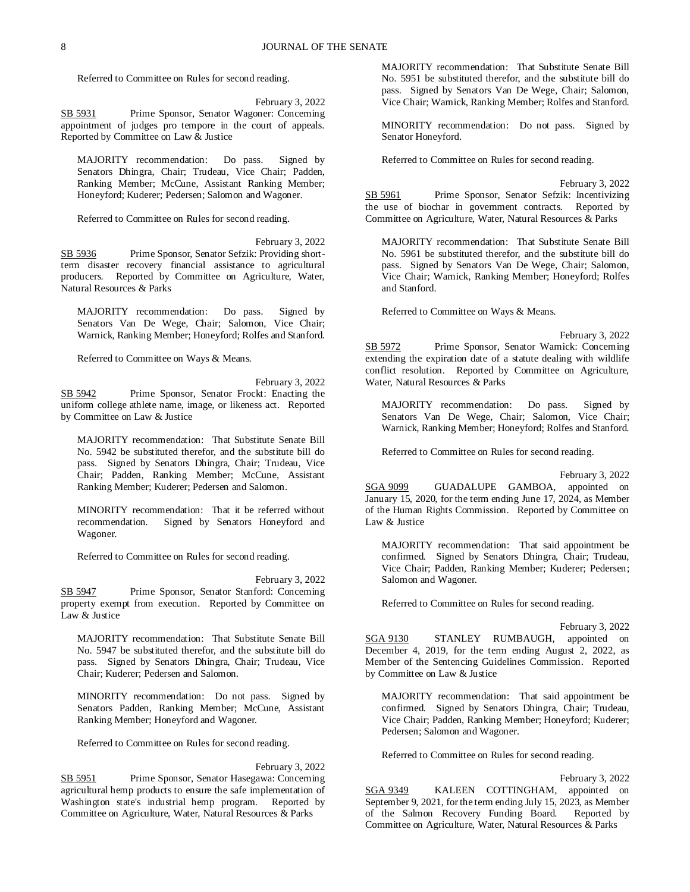Referred to Committee on Rules for second reading.

February 3, 2022 SB 5931 Prime Sponsor, Senator Wagoner: Concerning appointment of judges pro tempore in the court of appeals. Reported by Committee on Law & Justice

MAJORITY recommendation: Do pass. Signed by Senators Dhingra, Chair; Trudeau, Vice Chair; Padden, Ranking Member; McCune, Assistant Ranking Member; Honeyford; Kuderer; Pedersen; Salomon and Wagoner.

Referred to Committee on Rules for second reading.

February 3, 2022 SB 5936 Prime Sponsor, Senator Sefzik: Providing shortterm disaster recovery financial assistance to agricultural producers. Reported by Committee on Agriculture, Water, Natural Resources & Parks

MAJORITY recommendation: Do pass. Signed by Senators Van De Wege, Chair; Salomon, Vice Chair; Warnick, Ranking Member; Honeyford; Rolfes and Stanford.

Referred to Committee on Ways & Means.

February 3, 2022 SB 5942 Prime Sponsor, Senator Frockt: Enacting the uniform college athlete name, image, or likeness act. Reported by Committee on Law & Justice

MAJORITY recommendation: That Substitute Senate Bill No. 5942 be substituted therefor, and the substitute bill do pass. Signed by Senators Dhingra, Chair; Trudeau, Vice Chair; Padden, Ranking Member; McCune, Assistant Ranking Member; Kuderer; Pedersen and Salomon.

MINORITY recommendation: That it be referred without recommendation. Signed by Senators Honeyford and Wagoner.

Referred to Committee on Rules for second reading.

February 3, 2022 SB 5947 Prime Sponsor, Senator Stanford: Concerning property exempt from execution. Reported by Committee on Law & Justice

MAJORITY recommendation: That Substitute Senate Bill No. 5947 be substituted therefor, and the substitute bill do pass. Signed by Senators Dhingra, Chair; Trudeau, Vice Chair; Kuderer; Pedersen and Salomon.

MINORITY recommendation: Do not pass. Signed by Senators Padden, Ranking Member; McCune, Assistant Ranking Member; Honeyford and Wagoner.

Referred to Committee on Rules for second reading.

February 3, 2022 SB 5951 Prime Sponsor, Senator Hasegawa: Concerning agricultural hemp products to ensure the safe implementation of Washington state's industrial hemp program. Reported by Committee on Agriculture, Water, Natural Resources & Parks

MAJORITY recommendation: That Substitute Senate Bill No. 5951 be substituted therefor, and the substitute bill do pass. Signed by Senators Van De Wege, Chair; Salomon, Vice Chair; Warnick, Ranking Member; Rolfes and Stanford.

MINORITY recommendation: Do not pass. Signed by Senator Honeyford.

Referred to Committee on Rules for second reading.

February 3, 2022 SB 5961 Prime Sponsor, Senator Sefzik: Incentivizing the use of biochar in government contracts. Reported by Committee on Agriculture, Water, Natural Resources & Parks

MAJORITY recommendation: That Substitute Senate Bill No. 5961 be substituted therefor, and the substitute bill do pass. Signed by Senators Van De Wege, Chair; Salomon, Vice Chair; Warnick, Ranking Member; Honeyford; Rolfes and Stanford.

Referred to Committee on Ways & Means.

February 3, 2022 SB 5972 Prime Sponsor, Senator Warnick: Concerning extending the expiration date of a statute dealing with wildlife conflict resolution. Reported by Committee on Agriculture, Water, Natural Resources & Parks

MAJORITY recommendation: Do pass. Signed by Senators Van De Wege, Chair; Salomon, Vice Chair; Warnick, Ranking Member; Honeyford; Rolfes and Stanford.

Referred to Committee on Rules for second reading.

February 3, 2022

SGA 9099 GUADALUPE GAMBOA, appointed on January 15, 2020, for the term ending June 17, 2024, as Member of the Human Rights Commission. Reported by Committee on Law & Justice

MAJORITY recommendation: That said appointment be confirmed. Signed by Senators Dhingra, Chair; Trudeau, Vice Chair; Padden, Ranking Member; Kuderer; Pedersen; Salomon and Wagoner.

Referred to Committee on Rules for second reading.

February 3, 2022 SGA 9130 STANLEY RUMBAUGH, appointed on December 4, 2019, for the term ending August 2, 2022, as Member of the Sentencing Guidelines Commission. Reported by Committee on Law & Justice

MAJORITY recommendation: That said appointment be confirmed. Signed by Senators Dhingra, Chair; Trudeau, Vice Chair; Padden, Ranking Member; Honeyford; Kuderer; Pedersen; Salomon and Wagoner.

Referred to Committee on Rules for second reading.

February 3, 2022 SGA 9349 KALEEN COTTINGHAM, appointed on September 9, 2021, for the term ending July 15, 2023, as Member of the Salmon Recovery Funding Board. Reported by Committee on Agriculture, Water, Natural Resources & Parks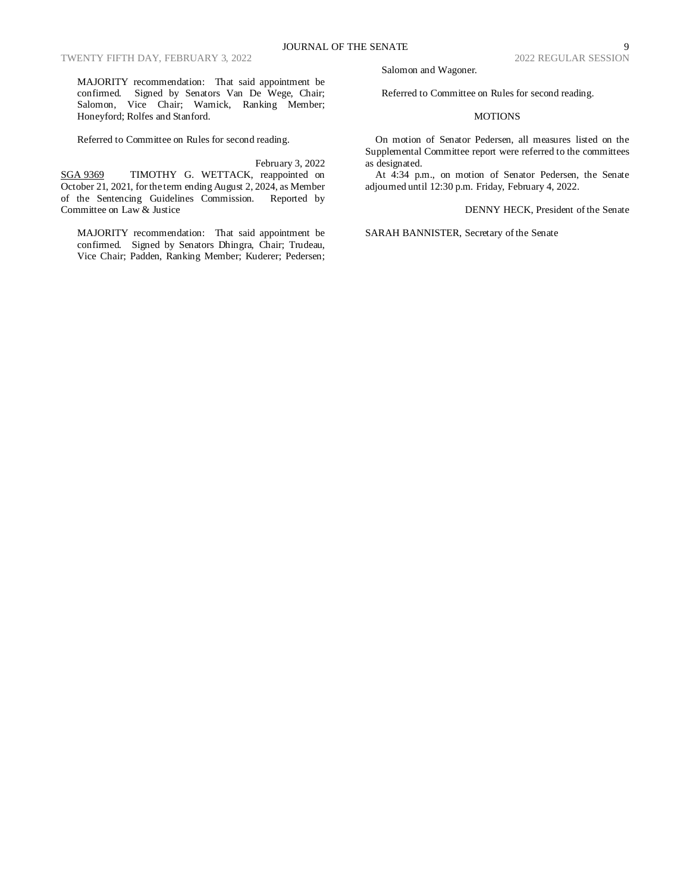MAJORITY recommendation: That said appointment be confirmed. Signed by Senators Van De Wege, Chair; Salomon, Vice Chair; Warnick, Ranking Member; Honeyford; Rolfes and Stanford.

Referred to Committee on Rules for second reading.

#### February 3, 2022

SGA 9369 TIMOTHY G. WETTACK, reappointed on October 21, 2021, for the term ending August 2, 2024, as Member of the Sentencing Guidelines Commission. Reported by Committee on Law & Justice

MAJORITY recommendation: That said appointment be confirmed. Signed by Senators Dhingra, Chair; Trudeau, Vice Chair; Padden, Ranking Member; Kuderer; Pedersen; Salomon and Wagoner.

Referred to Committee on Rules for second reading.

### **MOTIONS**

On motion of Senator Pedersen, all measures listed on the Supplemental Committee report were referred to the committees as designated.

At 4:34 p.m., on motion of Senator Pedersen, the Senate adjourned until 12:30 p.m. Friday, February 4, 2022.

DENNY HECK, President of the Senate

SARAH BANNISTER, Secretary of the Senate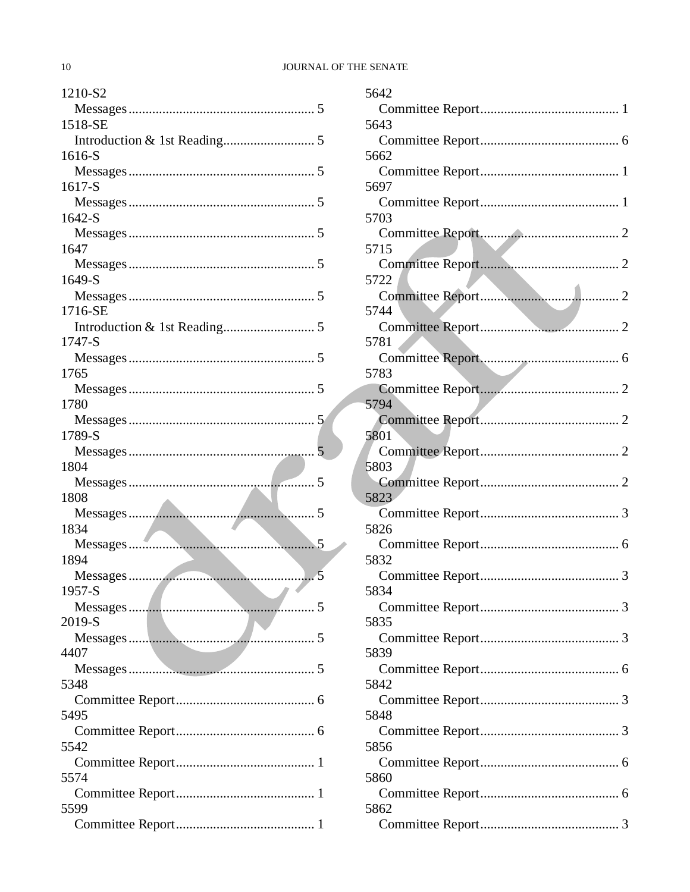# JOURNAL OF THE SENATE

| 1210-S2                                                                                                                                                                                                                              |   |
|--------------------------------------------------------------------------------------------------------------------------------------------------------------------------------------------------------------------------------------|---|
|                                                                                                                                                                                                                                      |   |
| 1518-SE                                                                                                                                                                                                                              |   |
|                                                                                                                                                                                                                                      |   |
| 1616-S                                                                                                                                                                                                                               |   |
|                                                                                                                                                                                                                                      |   |
| 1617-S                                                                                                                                                                                                                               |   |
|                                                                                                                                                                                                                                      |   |
| $1642-S$                                                                                                                                                                                                                             |   |
|                                                                                                                                                                                                                                      |   |
| 1647                                                                                                                                                                                                                                 |   |
|                                                                                                                                                                                                                                      |   |
| 1649-S                                                                                                                                                                                                                               |   |
|                                                                                                                                                                                                                                      |   |
| 1716-SE                                                                                                                                                                                                                              |   |
|                                                                                                                                                                                                                                      |   |
| 1747-S                                                                                                                                                                                                                               |   |
|                                                                                                                                                                                                                                      |   |
| 1765                                                                                                                                                                                                                                 |   |
|                                                                                                                                                                                                                                      |   |
| 1780                                                                                                                                                                                                                                 |   |
|                                                                                                                                                                                                                                      |   |
| 1789-S                                                                                                                                                                                                                               |   |
|                                                                                                                                                                                                                                      | 5 |
| 1804                                                                                                                                                                                                                                 |   |
|                                                                                                                                                                                                                                      |   |
| 1808                                                                                                                                                                                                                                 |   |
|                                                                                                                                                                                                                                      |   |
| 1834                                                                                                                                                                                                                                 |   |
|                                                                                                                                                                                                                                      |   |
| 1894                                                                                                                                                                                                                                 |   |
|                                                                                                                                                                                                                                      |   |
| 1957-S<br>$\mathcal{L}$<br><b>Contract Contract Contract</b>                                                                                                                                                                         |   |
| <u>and the set of the set of the set of the set of the set of the set of the set of the set of the set of the set of the set of the set of the set of the set of the set of the set of the set of the set of the set of the set </u> |   |
| 2019-S                                                                                                                                                                                                                               |   |
| 4407                                                                                                                                                                                                                                 |   |
|                                                                                                                                                                                                                                      |   |
| 5348                                                                                                                                                                                                                                 |   |
|                                                                                                                                                                                                                                      |   |
| 5495                                                                                                                                                                                                                                 |   |
|                                                                                                                                                                                                                                      |   |
| 5542                                                                                                                                                                                                                                 |   |
|                                                                                                                                                                                                                                      |   |
| 5574                                                                                                                                                                                                                                 |   |
|                                                                                                                                                                                                                                      |   |
| 5599                                                                                                                                                                                                                                 |   |
|                                                                                                                                                                                                                                      |   |
|                                                                                                                                                                                                                                      |   |

| 5642 |
|------|
|      |
| 5643 |
|      |
| 5662 |
|      |
| 5697 |
|      |
| 5703 |
|      |
| 5715 |
|      |
| 5722 |
| 5744 |
|      |
| 5781 |
|      |
| 5783 |
|      |
| 5794 |
|      |
| 5801 |
|      |
| 5803 |
|      |
| 5823 |
|      |
| 5826 |
|      |
| 5832 |
|      |
| 5834 |
| 5835 |
|      |
| 5839 |
|      |
| 5842 |
|      |
| 5848 |
|      |
| 5856 |
|      |
| 5860 |
|      |
| 5862 |
|      |